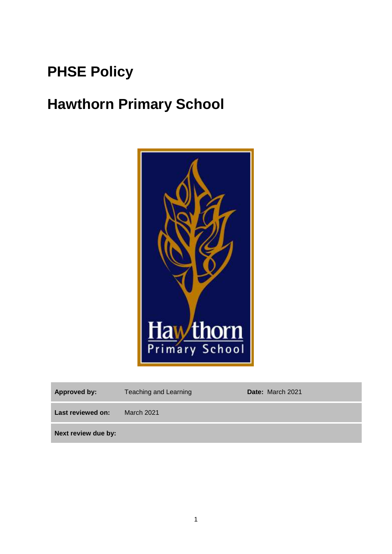# **PHSE Policy**

# **Hawthorn Primary School**



| <b>Approved by:</b> | <b>Teaching and Learning</b> | <b>Date:</b> March 2021 |
|---------------------|------------------------------|-------------------------|
| Last reviewed on:   | <b>March 2021</b>            |                         |
| Next review due by: |                              |                         |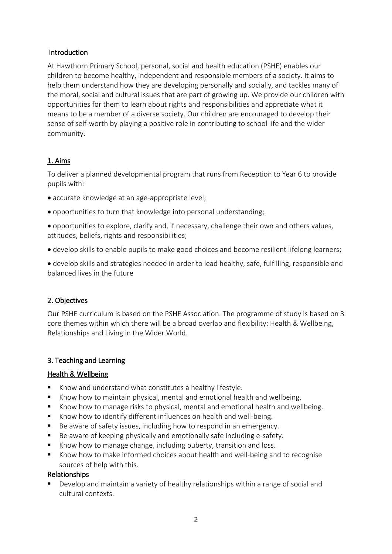#### **Introduction**

At Hawthorn Primary School, personal, social and health education (PSHE) enables our children to become healthy, independent and responsible members of a society. It aims to help them understand how they are developing personally and socially, and tackles many of the moral, social and cultural issues that are part of growing up. We provide our children with opportunities for them to learn about rights and responsibilities and appreciate what it means to be a member of a diverse society. Our children are encouraged to develop their sense of self-worth by playing a positive role in contributing to school life and the wider community.

## 1. Aims

To deliver a planned developmental program that runs from Reception to Year 6 to provide pupils with:

- accurate knowledge at an age-appropriate level;
- opportunities to turn that knowledge into personal understanding;
- opportunities to explore, clarify and, if necessary, challenge their own and others values, attitudes, beliefs, rights and responsibilities;
- develop skills to enable pupils to make good choices and become resilient lifelong learners;
- develop skills and strategies needed in order to lead healthy, safe, fulfilling, responsible and balanced lives in the future

## 2. Objectives

Our PSHE curriculum is based on the PSHE Association. The programme of study is based on 3 core themes within which there will be a broad overlap and flexibility: Health & Wellbeing, Relationships and Living in the Wider World.

## 3. Teaching and Learning

#### Health & Wellbeing

- Know and understand what constitutes a healthy lifestyle.
- Know how to maintain physical, mental and emotional health and wellbeing.
- Know how to manage risks to physical, mental and emotional health and wellbeing.
- Know how to identify different influences on health and well-being.
- Be aware of safety issues, including how to respond in an emergency.
- Be aware of keeping physically and emotionally safe including e-safety.
- Know how to manage change, including puberty, transition and loss.
- Know how to make informed choices about health and well-being and to recognise sources of help with this.

#### Relationships

 Develop and maintain a variety of healthy relationships within a range of social and cultural contexts.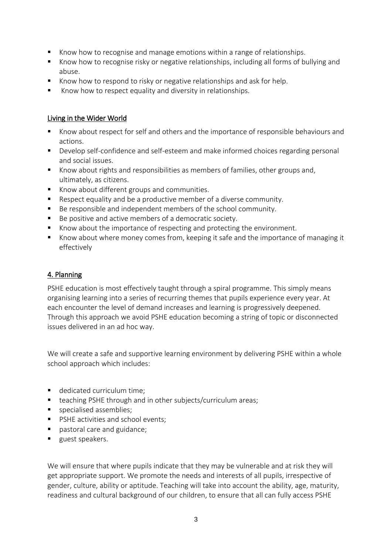- Know how to recognise and manage emotions within a range of relationships.
- Know how to recognise risky or negative relationships, including all forms of bullying and abuse.
- Know how to respond to risky or negative relationships and ask for help.
- Know how to respect equality and diversity in relationships.

#### Living in the Wider World

- Know about respect for self and others and the importance of responsible behaviours and actions.
- **Develop self-confidence and self-esteem and make informed choices regarding personal** and social issues.
- Know about rights and responsibilities as members of families, other groups and, ultimately, as citizens.
- Know about different groups and communities.
- Respect equality and be a productive member of a diverse community.
- Be responsible and independent members of the school community.
- Be positive and active members of a democratic society.
- Know about the importance of respecting and protecting the environment.
- Know about where money comes from, keeping it safe and the importance of managing it effectively

#### 4. Planning

PSHE education is most effectively taught through a spiral programme. This simply means organising learning into a series of recurring themes that pupils experience every year. At each encounter the level of demand increases and learning is progressively deepened. Through this approach we avoid PSHE education becoming a string of topic or disconnected issues delivered in an ad hoc way.

We will create a safe and supportive learning environment by delivering PSHE within a whole school approach which includes:

- dedicated curriculum time;
- teaching PSHE through and in other subjects/curriculum areas;
- **specialised assemblies;**
- **PSHE activities and school events;**
- pastoral care and guidance;
- quest speakers.

We will ensure that where pupils indicate that they may be vulnerable and at risk they will get appropriate support. We promote the needs and interests of all pupils, irrespective of gender, culture, ability or aptitude. Teaching will take into account the ability, age, maturity, readiness and cultural background of our children, to ensure that all can fully access PSHE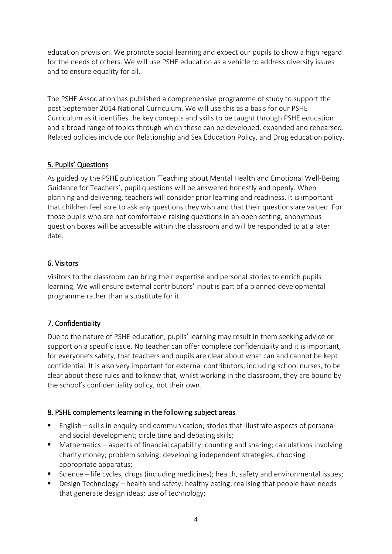education provision. We promote social learning and expect our pupils to show a high regard for the needs of others. We will use PSHE education as a vehicle to address diversity issues and to ensure equality for all.

The PSHE Association has published a comprehensive programme of study to support the post September 2014 National Curriculum. We will use this as a basis for our PSHE Curriculum as it identifies the key concepts and skills to be taught through PSHE education and a broad range of topics through which these can be developed, expanded and rehearsed. Related policies include our Relationship and Sex Education Policy, and Drug education policy.

## 5. Pupils' Questions

As guided by the PSHE publication 'Teaching about Mental Health and Emotional Well-Being Guidance for Teachers', pupil questions will be answered honestly and openly. When planning and delivering, teachers will consider prior learning and readiness. It is important that children feel able to ask any questions they wish and that their questions are valued. For those pupils who are not comfortable raising questions in an open setting, anonymous question boxes will be accessible within the classroom and will be responded to at a later date.

## 6. Visitors

Visitors to the classroom can bring their expertise and personal stories to enrich pupils learning. We will ensure external contributors' input is part of a planned developmental programme rather than a substitute for it.

## 7. Confidentiality

Due to the nature of PSHE education, pupils' learning may result in them seeking advice or support on a specific issue. No teacher can offer complete confidentiality and it is important, for everyone's safety, that teachers and pupils are clear about what can and cannot be kept confidential. It is also very important for external contributors, including school nurses, to be clear about these rules and to know that, whilst working in the classroom, they are bound by the school's confidentiality policy, not their own.

## 8. PSHE complements learning in the following subject areas

- English skills in enquiry and communication; stories that illustrate aspects of personal and social development; circle time and debating skills;
- Mathematics aspects of financial capability; counting and sharing; calculations involving charity money; problem solving; developing independent strategies; choosing appropriate apparatus;
- Science life cycles, drugs (including medicines); health, safety and environmental issues;
- **Design Technology health and safety; healthy eating; realising that people have needs** that generate design ideas; use of technology;